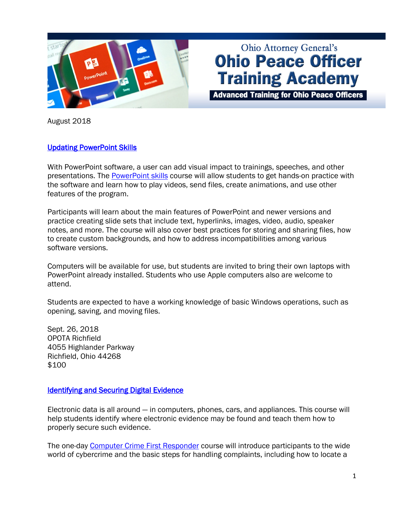

# **Ohio Attorney General's Ohio Peace Officer Training Academy**

**Advanced Training for Ohio Peace Officers** 

August 2018

### [Updating PowerPoint Skills](https://www.ohioattorneygeneral.gov/Law-Enforcement/Ohio-Peace-Officer-Training-Academy/Course-Catalog/Course-Categories/Computer-Courses/PowerPoint-Skills)

With PowerPoint software, a user can add visual impact to trainings, speeches, and other presentations. The [PowerPoint skills](https://www.ohioattorneygeneral.gov/Law-Enforcement/Ohio-Peace-Officer-Training-Academy/Course-Catalog/Course-Categories/Computer-Courses/PowerPoint-Skills) course will allow students to get hands-on practice with the software and learn how to play videos, send files, create animations, and use other features of the program.

Participants will learn about the main features of PowerPoint and newer versions and practice creating slide sets that include text, hyperlinks, images, video, audio, speaker notes, and more. The course will also cover best practices for storing and sharing files, how to create custom backgrounds, and how to address incompatibilities among various software versions.

Computers will be available for use, but students are invited to bring their own laptops with PowerPoint already installed. Students who use Apple computers also are welcome to attend.

Students are expected to have a working knowledge of basic Windows operations, such as opening, saving, and moving files.

Sept. 26, 2018 OPOTA Richfield 4055 Highlander Parkway Richfield, Ohio 44268 \$100

#### **Identifying and Securing Digital Evidence**

Electronic data is all around — in computers, phones, cars, and appliances. This course will help students identify where electronic evidence may be found and teach them how to properly secure such evidence.

The one-day [Computer Crime First Responder](https://www.ohioattorneygeneral.gov/Law-Enforcement/Ohio-Peace-Officer-Training-Academy/Course-Catalog/Course-Categories/Computer-Courses#OPOTA12) course will introduce participants to the wide world of cybercrime and the basic steps for handling complaints, including how to locate a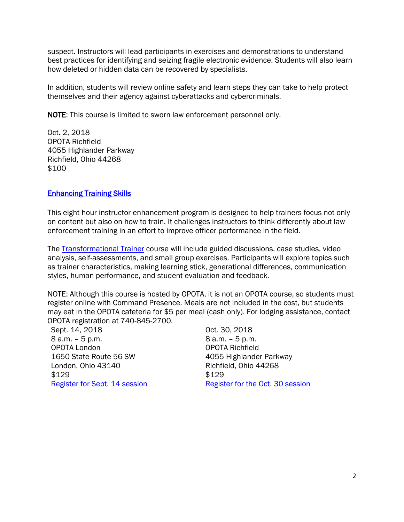suspect. Instructors will lead participants in exercises and demonstrations to understand best practices for identifying and seizing fragile electronic evidence. Students will also learn how deleted or hidden data can be recovered by specialists.

In addition, students will review online safety and learn steps they can take to help protect themselves and their agency against cyberattacks and cybercriminals.

NOTE: This course is limited to sworn law enforcement personnel only.

Oct. 2, 2018 OPOTA Richfield 4055 Highlander Parkway Richfield, Ohio 44268 \$100

## [Enhancing Training Skills](https://www.ohioattorneygeneral.gov/Law-Enforcement/Ohio-Peace-Officer-Training-Academy/Course-Catalog/Course-Categories/Skills-Development-Courses#OPOTA1078)

This eight-hour instructor-enhancement program is designed to help trainers focus not only on content but also on how to train. It challenges instructors to think differently about law enforcement training in an effort to improve officer performance in the field.

The [Transformational Trainer](https://www.ohioattorneygeneral.gov/Law-Enforcement/Ohio-Peace-Officer-Training-Academy/Course-Catalog/Course-Categories/Skills-Development-Courses#OPOTA1078) course will include guided discussions, case studies, video analysis, self-assessments, and small group exercises. Participants will explore topics such as trainer characteristics, making learning stick, generational differences, communication styles, human performance, and student evaluation and feedback.

NOTE: Although this course is hosted by OPOTA, it is not an OPOTA course, so students must register online with Command Presence. Meals are not included in the cost, but students may eat in the OPOTA cafeteria for \$5 per meal (cash only). For lodging assistance, contact OPOTA registration at 740-845-2700.

Sept. 14, 2018 8 a.m. – 5 p.m. OPOTA London 1650 State Route 56 SW London, Ohio 43140 \$129 [Register for Sept. 14 session](http://commandpresence.net/register/the-transformational-trainer-12/) Oct. 30, 2018 8 a.m. – 5 p.m. OPOTA Richfield 4055 Highlander Parkway Richfield, Ohio 44268 \$129 [Register for the Oct. 30 session](http://commandpresence.net/register/the-transformational-trainer-13/)